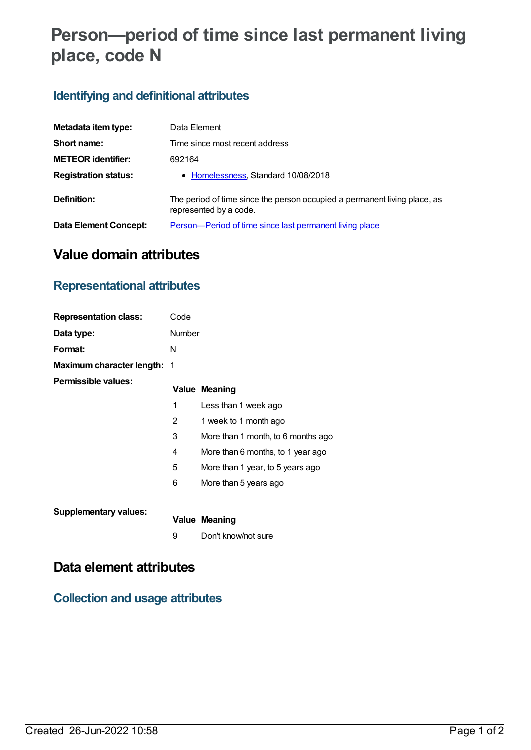# **Person—period of time since last permanent living place, code N**

## **Identifying and definitional attributes**

| Metadata item type:          | Data Element                                                                                        |
|------------------------------|-----------------------------------------------------------------------------------------------------|
| Short name:                  | Time since most recent address                                                                      |
| <b>METEOR identifier:</b>    | 692164                                                                                              |
| <b>Registration status:</b>  | • Homelessness, Standard 10/08/2018                                                                 |
| Definition:                  | The period of time since the person occupied a permanent living place, as<br>represented by a code. |
| <b>Data Element Concept:</b> | Person-Period of time since last permanent living place                                             |

# **Value domain attributes**

### **Representational attributes**

| <b>Representation class:</b>       | Code   |                                    |
|------------------------------------|--------|------------------------------------|
| Data type:                         | Number |                                    |
| Format:                            | N      |                                    |
| <b>Maximum character length: 1</b> |        |                                    |
| Permissible values:                |        | <b>Value Meaning</b>               |
|                                    | 1      | Less than 1 week ago               |
|                                    | 2      | 1 week to 1 month ago              |
|                                    | 3      | More than 1 month, to 6 months ago |
|                                    | 4      | More than 6 months, to 1 year ago  |
|                                    | 5      | More than 1 year, to 5 years ago   |
|                                    | 6      | More than 5 years ago              |
| <b>Supplementary values:</b>       |        | Value Meaning                      |

9 Don't know/not sure

## **Data element attributes**

#### **Collection and usage attributes**